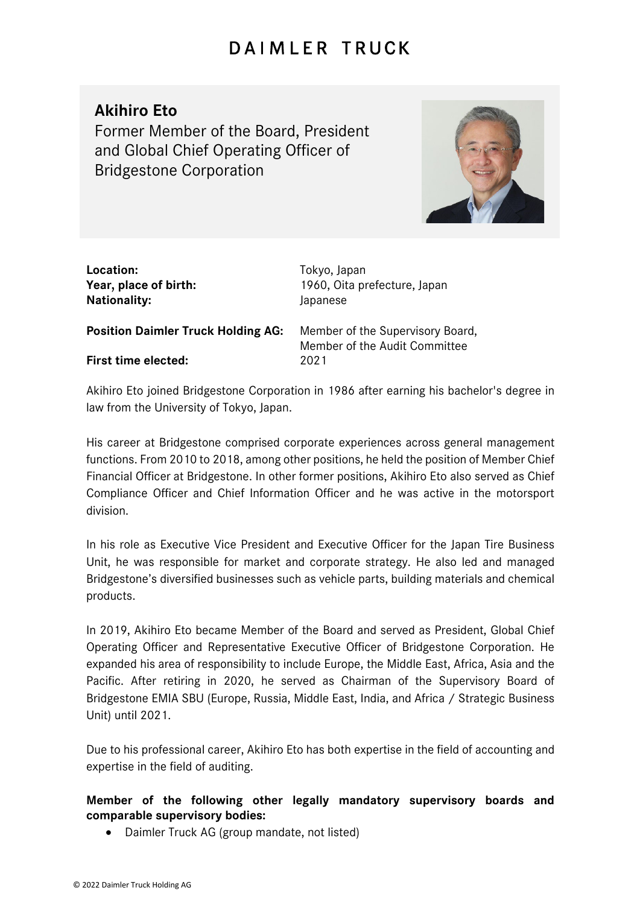## DAIMLER TRUCK

## **Akihiro Eto**

Former Member of the Board, President and Global Chief Operating Officer of Bridgestone Corporation



| Location:<br>Year, place of birth:<br><b>Nationality:</b> | Tokyo, Japan<br>1960, Oita prefecture, Japan<br>Japanese          |
|-----------------------------------------------------------|-------------------------------------------------------------------|
| <b>Position Daimler Truck Holding AG:</b>                 | Member of the Supervisory Board,<br>Member of the Audit Committee |
| <b>First time elected:</b>                                | 2021                                                              |

Akihiro Eto joined Bridgestone Corporation in 1986 after earning his bachelor's degree in law from the University of Tokyo, Japan.

His career at Bridgestone comprised corporate experiences across general management functions. From 2010 to 2018, among other positions, he held the position of Member Chief Financial Officer at Bridgestone. In other former positions, Akihiro Eto also served as Chief Compliance Officer and Chief Information Officer and he was active in the motorsport division.

In his role as Executive Vice President and Executive Officer for the Japan Tire Business Unit, he was responsible for market and corporate strategy. He also led and managed Bridgestone's diversified businesses such as vehicle parts, building materials and chemical products.

In 2019, Akihiro Eto became Member of the Board and served as President, Global Chief Operating Officer and Representative Executive Officer of Bridgestone Corporation. He expanded his area of responsibility to include Europe, the Middle East, Africa, Asia and the Pacific. After retiring in 2020, he served as Chairman of the Supervisory Board of Bridgestone EMIA SBU (Europe, Russia, Middle East, India, and Africa / Strategic Business Unit) until 2021.

Due to his professional career, Akihiro Eto has both expertise in the field of accounting and expertise in the field of auditing.

## **Member of the following other legally mandatory supervisory boards and comparable supervisory bodies:**

• Daimler Truck AG (group mandate, not listed)